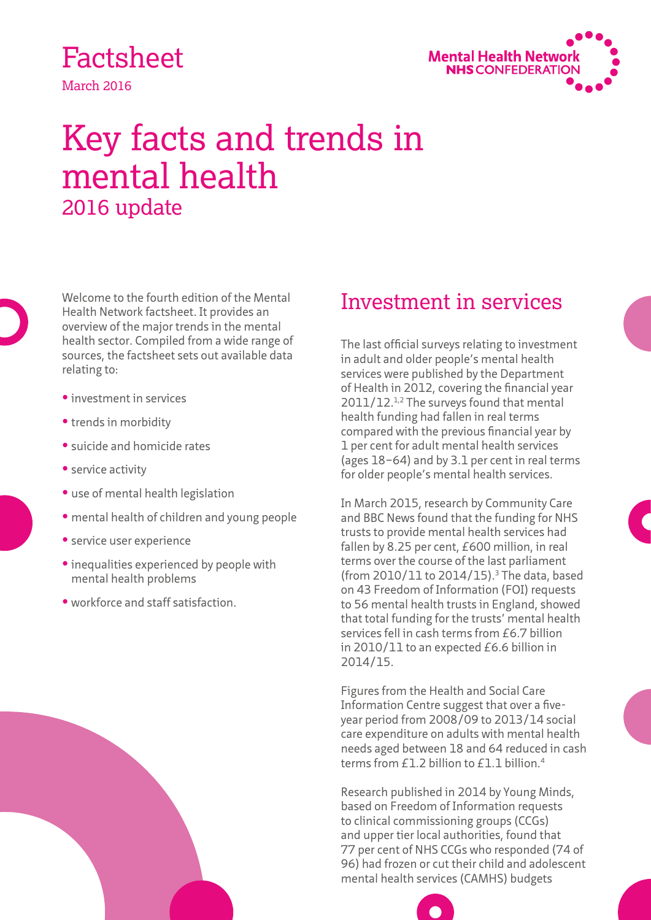# Factsheet

March 2016



## Key facts and trends in mental health 2016 update

Welcome to the fourth edition of the Mental Health Network factsheet. It provides an overview of the major trends in the mental health sector. Compiled from a wide range of sources, the factsheet sets out available data relating to:

- **•** investment in services
- **•** trends in morbidity
- **•** suicide and homicide rates
- **•** service activity
- **•** use of mental health legislation
- **•** mental health of children and young people
- **•** service user experience
- **•** inequalities experienced by people with mental health problems
- **•** workforce and staff satisfaction.

### Investment in services

The last official surveys relating to investment in adult and older people's mental health services were published by the Department of Health in 2012, covering the financial year 2011/12.<sup>1,2</sup> The surveys found that mental health funding had fallen in real terms compared with the previous financial year by 1 per cent for adult mental health services (ages 18–64) and by 3.1 per cent in real terms for older people's mental health services.

In March 2015, research by Community Care and BBC News found that the funding for NHS trusts to provide mental health services had fallen by 8.25 per cent, £600 million, in real terms over the course of the last parliament (from 2010/11 to 2014/15).3 The data, based on 43 Freedom of Information (FOI) requests to 56 mental health trusts in England, showed that total funding for the trusts' mental health services fell in cash terms from £6.7 billion in 2010/11 to an expected £6.6 billion in 2014/15.

Figures from the Health and Social Care Information Centre suggest that over a fiveyear period from 2008/09 to 2013/14 social care expenditure on adults with mental health needs aged between 18 and 64 reduced in cash terms from £1.2 billion to £1.1 billion.<sup>4</sup>

Research published in 2014 by Young Minds, based on Freedom of Information requests to clinical commissioning groups (CCGs) and upper tier local authorities, found that 77 per cent of NHS CCGs who responded (74 of 96) had frozen or cut their child and adolescent mental health services (CAMHS) budgets

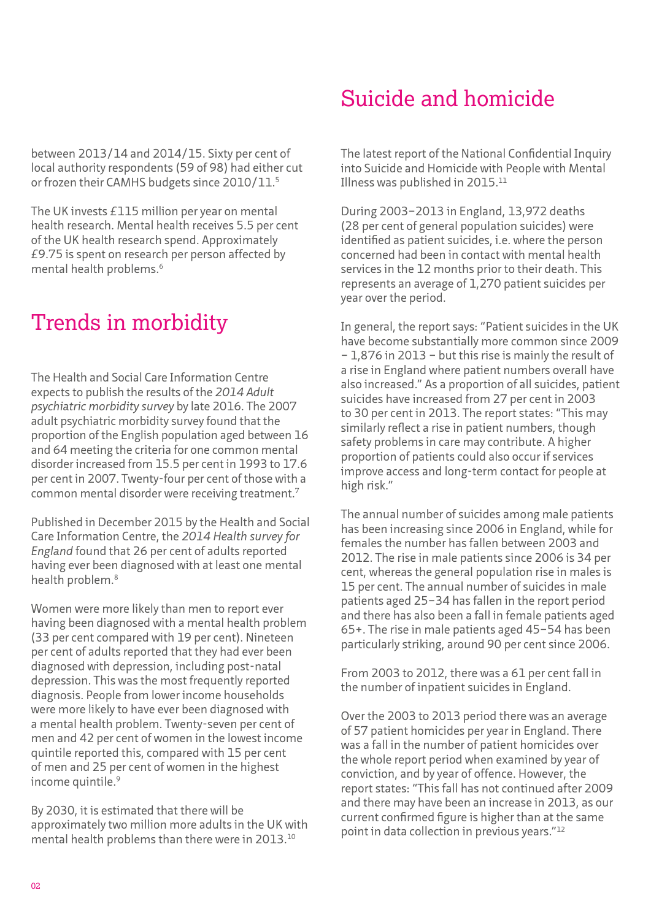between 2013/14 and 2014/15. Sixty per cent of local authority respondents (59 of 98) had either cut or frozen their CAMHS budgets since 2010/11.5

The UK invests £115 million per year on mental health research. Mental health receives 5.5 per cent of the UK health research spend. Approximately £9.75 is spent on research per person affected by mental health problems.6

### Trends in morbidity

The Health and Social Care Information Centre expects to publish the results of the *2014 Adult psychiatric morbidity survey* by late 2016. The 2007 adult psychiatric morbidity survey found that the proportion of the English population aged between 16 and 64 meeting the criteria for one common mental disorder increased from 15.5 per cent in 1993 to 17.6 per cent in 2007. Twenty-four per cent of those with a common mental disorder were receiving treatment.7

Published in December 2015 by the Health and Social Care Information Centre, the *2014 Health survey for England* found that 26 per cent of adults reported having ever been diagnosed with at least one mental health problem.8

Women were more likely than men to report ever having been diagnosed with a mental health problem (33 per cent compared with 19 per cent). Nineteen per cent of adults reported that they had ever been diagnosed with depression, including post-natal depression. This was the most frequently reported diagnosis. People from lower income households were more likely to have ever been diagnosed with a mental health problem. Twenty-seven per cent of men and 42 per cent of women in the lowest income quintile reported this, compared with 15 per cent of men and 25 per cent of women in the highest income quintile.<sup>9</sup>

By 2030, it is estimated that there will be approximately two million more adults in the UK with mental health problems than there were in 2013.10

### Suicide and homicide

The latest report of the National Confidential Inquiry into Suicide and Homicide with People with Mental Illness was published in 2015.11

During 2003–2013 in England, 13,972 deaths (28 per cent of general population suicides) were identified as patient suicides, i.e. where the person concerned had been in contact with mental health services in the 12 months prior to their death. This represents an average of 1,270 patient suicides per year over the period.

In general, the report says: "Patient suicides in the UK have become substantially more common since 2009 – 1,876 in 2013 – but this rise is mainly the result of a rise in England where patient numbers overall have also increased." As a proportion of all suicides, patient suicides have increased from 27 per cent in 2003 to 30 per cent in 2013. The report states: "This may similarly reflect a rise in patient numbers, though safety problems in care may contribute. A higher proportion of patients could also occur if services improve access and long-term contact for people at high risk."

The annual number of suicides among male patients has been increasing since 2006 in England, while for females the number has fallen between 2003 and 2012. The rise in male patients since 2006 is 34 per cent, whereas the general population rise in males is 15 per cent. The annual number of suicides in male patients aged 25–34 has fallen in the report period and there has also been a fall in female patients aged 65+. The rise in male patients aged 45–54 has been particularly striking, around 90 per cent since 2006.

From 2003 to 2012, there was a 61 per cent fall in the number of inpatient suicides in England.

Over the 2003 to 2013 period there was an average of 57 patient homicides per year in England. There was a fall in the number of patient homicides over the whole report period when examined by year of conviction, and by year of offence. However, the report states: "This fall has not continued after 2009 and there may have been an increase in 2013, as our current confirmed figure is higher than at the same point in data collection in previous years."12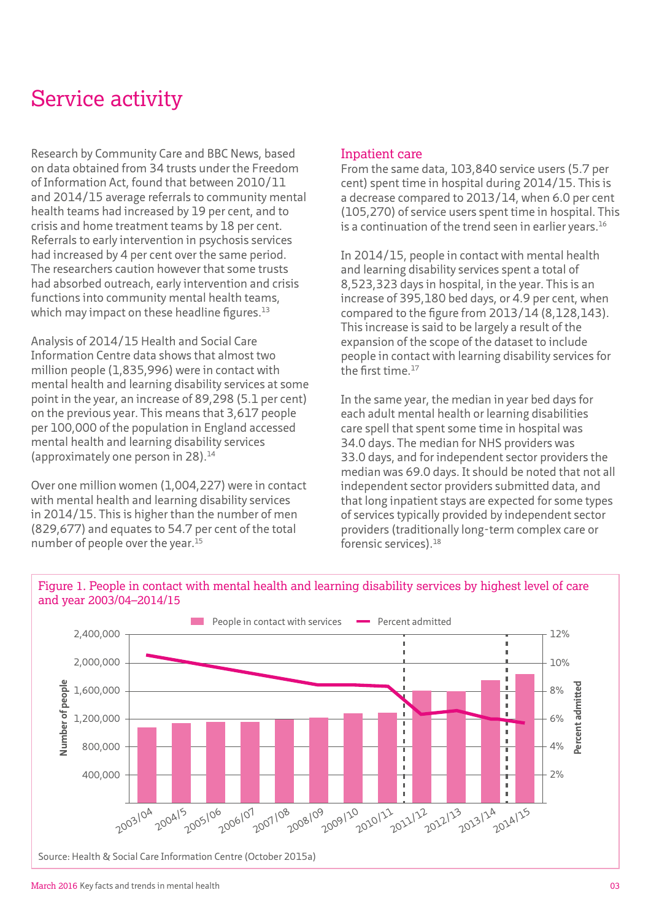### Service activity

Research by Community Care and BBC News, based on data obtained from 34 trusts under the Freedom of Information Act, found that between 2010/11 and 2014/15 average referrals to community mental health teams had increased by 19 per cent, and to crisis and home treatment teams by 18 per cent. Referrals to early intervention in psychosis services had increased by 4 per cent over the same period. The researchers caution however that some trusts had absorbed outreach, early intervention and crisis functions into community mental health teams, which may impact on these headline figures. $13$ 

Analysis of 2014/15 Health and Social Care Information Centre data shows that almost two million people (1,835,996) were in contact with mental health and learning disability services at some point in the year, an increase of 89,298 (5.1 per cent) on the previous year. This means that 3,617 people per 100,000 of the population in England accessed mental health and learning disability services (approximately one person in 28).14

Over one million women (1,004,227) were in contact with mental health and learning disability services in 2014/15. This is higher than the number of men (829,677) and equates to 54.7 per cent of the total number of people over the year.15

#### Inpatient care

From the same data, 103,840 service users (5.7 per cent) spent time in hospital during 2014/15. This is a decrease compared to 2013/14, when 6.0 per cent (105,270) of service users spent time in hospital. This is a continuation of the trend seen in earlier vears.<sup>16</sup>

In 2014/15, people in contact with mental health and learning disability services spent a total of 8,523,323 days in hospital, in the year. This is an increase of 395,180 bed days, or 4.9 per cent, when compared to the figure from 2013/14 (8,128,143). This increase is said to be largely a result of the expansion of the scope of the dataset to include people in contact with learning disability services for the first time.17

In the same year, the median in year bed days for each adult mental health or learning disabilities care spell that spent some time in hospital was 34.0 days. The median for NHS providers was 33.0 days, and for independent sector providers the median was 69.0 days. It should be noted that not all independent sector providers submitted data, and that long inpatient stays are expected for some types of services typically provided by independent sector providers (traditionally long-term complex care or forensic services).18



Figure 1. People in contact with mental health and learning disability services by highest level of care and year 2003/04–2014/15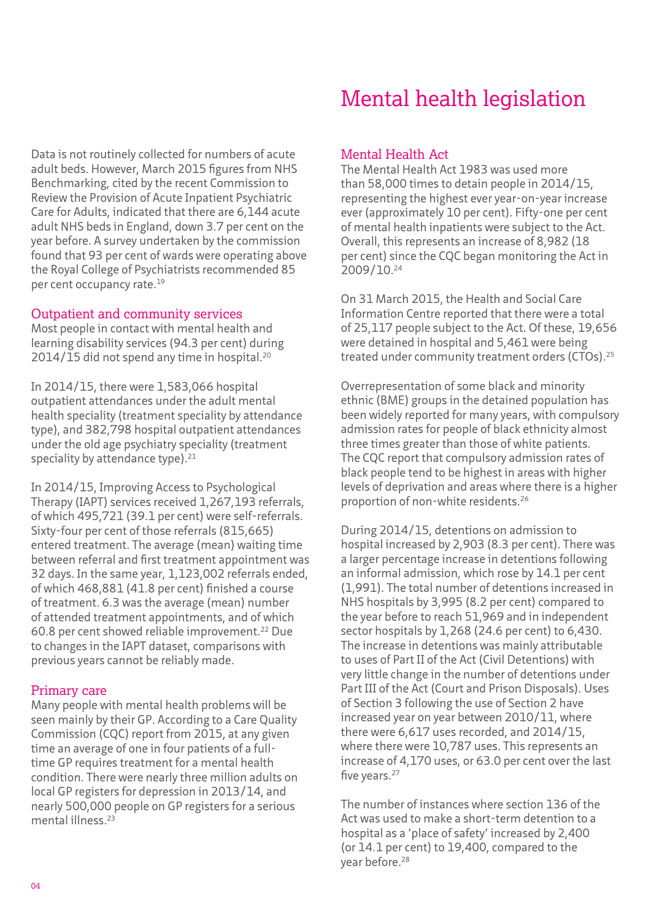Data is not routinely collected for numbers of acute adult beds. However, March 2015 figures from NHS Benchmarking, cited by the recent Commission to Review the Provision of Acute Inpatient Psychiatric Care for Adults, indicated that there are 6,144 acute adult NHS beds in England, down 3.7 per cent on the year before. A survey undertaken by the commission found that 93 per cent of wards were operating above the Royal College of Psychiatrists recommended 85 per cent occupancy rate.<sup>19</sup>

#### Outpatient and community services

Most people in contact with mental health and learning disability services (94.3 per cent) during 2014/15 did not spend any time in hospital.20

In 2014/15, there were 1,583,066 hospital outpatient attendances under the adult mental health speciality (treatment speciality by attendance type), and 382,798 hospital outpatient attendances under the old age psychiatry speciality (treatment speciality by attendance type).<sup>21</sup>

In 2014/15, Improving Access to Psychological Therapy (IAPT) services received 1,267,193 referrals, of which 495,721 (39.1 per cent) were self-referrals. Sixty-four per cent of those referrals (815,665) entered treatment. The average (mean) waiting time between referral and first treatment appointment was 32 days. In the same year, 1,123,002 referrals ended, of which 468,881 (41.8 per cent) finished a course of treatment. 6.3 was the average (mean) number of attended treatment appointments, and of which 60.8 per cent showed reliable improvement.22 Due to changes in the IAPT dataset, comparisons with previous years cannot be reliably made.

#### Primary care

Many people with mental health problems will be seen mainly by their GP. According to a Care Quality Commission (CQC) report from 2015, at any given time an average of one in four patients of a fulltime GP requires treatment for a mental health condition. There were nearly three million adults on local GP registers for depression in 2013/14, and nearly 500,000 people on GP registers for a serious mental illness.23

### Mental health legislation

#### Mental Health Act

The Mental Health Act 1983 was used more than 58,000 times to detain people in 2014/15, representing the highest ever year-on-year increase ever (approximately 10 per cent). Fifty-one per cent of mental health inpatients were subject to the Act. Overall, this represents an increase of 8,982 (18 per cent) since the CQC began monitoring the Act in 2009/10.24

On 31 March 2015, the Health and Social Care Information Centre reported that there were a total of 25,117 people subject to the Act. Of these, 19,656 were detained in hospital and 5,461 were being treated under community treatment orders (CTOs).25

Overrepresentation of some black and minority ethnic (BME) groups in the detained population has been widely reported for many years, with compulsory admission rates for people of black ethnicity almost three times greater than those of white patients. The CQC report that compulsory admission rates of black people tend to be highest in areas with higher levels of deprivation and areas where there is a higher proportion of non-white residents.26

During 2014/15, detentions on admission to hospital increased by 2,903 (8.3 per cent). There was a larger percentage increase in detentions following an informal admission, which rose by 14.1 per cent (1,991). The total number of detentions increased in NHS hospitals by 3,995 (8.2 per cent) compared to the year before to reach 51,969 and in independent sector hospitals by 1,268 (24.6 per cent) to 6,430. The increase in detentions was mainly attributable to uses of Part II of the Act (Civil Detentions) with very little change in the number of detentions under Part III of the Act (Court and Prison Disposals). Uses of Section 3 following the use of Section 2 have increased year on year between 2010/11, where there were 6,617 uses recorded, and 2014/15, where there were 10,787 uses. This represents an increase of 4,170 uses, or 63.0 per cent over the last five years.<sup>27</sup>

The number of instances where section 136 of the Act was used to make a short-term detention to a hospital as a 'place of safety' increased by 2,400 (or 14.1 per cent) to 19,400, compared to the year before.28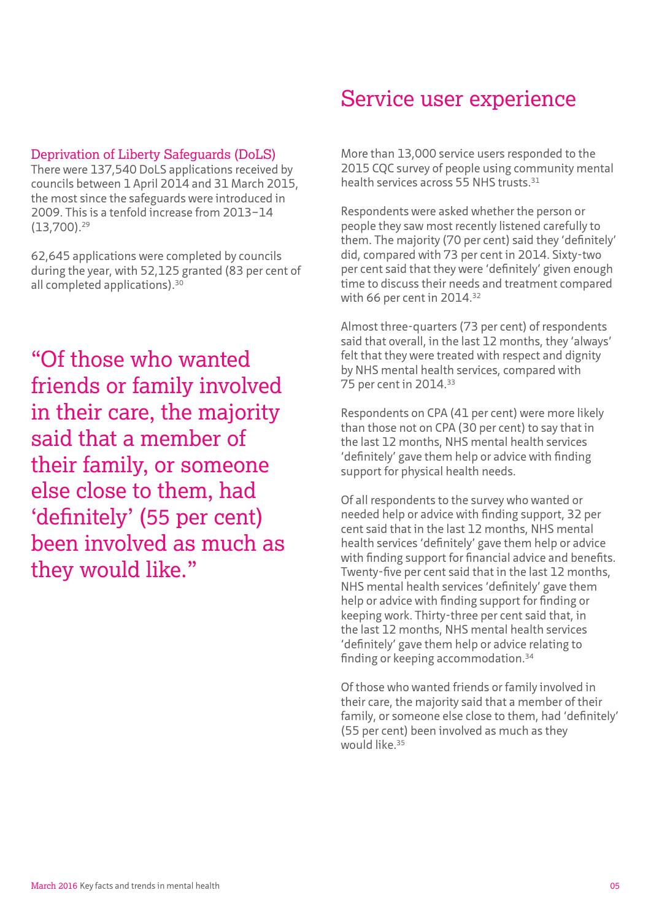#### Deprivation of Liberty Safeguards (DoLS)

There were 137,540 DoLS applications received by councils between 1 April 2014 and 31 March 2015, the most since the safeguards were introduced in 2009. This is a tenfold increase from 2013–14 (13,700).29

62,645 applications were completed by councils during the year, with 52,125 granted (83 per cent of all completed applications).30

"Of those who wanted friends or family involved in their care, the majority said that a member of their family, or someone else close to them, had 'definitely' (55 per cent) been involved as much as they would like."

#### Service user experience

More than 13,000 service users responded to the 2015 CQC survey of people using community mental health services across 55 NHS trusts.<sup>31</sup>

Respondents were asked whether the person or people they saw most recently listened carefully to them. The majority (70 per cent) said they 'definitely' did, compared with 73 per cent in 2014. Sixty-two per cent said that they were 'definitely' given enough time to discuss their needs and treatment compared with 66 per cent in 2014.32

Almost three-quarters (73 per cent) of respondents said that overall, in the last 12 months, they 'always' felt that they were treated with respect and dignity by NHS mental health services, compared with 75 per cent in 2014.33

Respondents on CPA (41 per cent) were more likely than those not on CPA (30 per cent) to say that in the last 12 months, NHS mental health services 'definitely' gave them help or advice with finding support for physical health needs.

Of all respondents to the survey who wanted or needed help or advice with finding support, 32 per cent said that in the last 12 months, NHS mental health services 'definitely' gave them help or advice with finding support for financial advice and benefits. Twenty-five per cent said that in the last 12 months, NHS mental health services 'definitely' gave them help or advice with finding support for finding or keeping work. Thirty-three per cent said that, in the last 12 months, NHS mental health services 'definitely' gave them help or advice relating to finding or keeping accommodation.34

Of those who wanted friends or family involved in their care, the majority said that a member of their family, or someone else close to them, had 'definitely' (55 per cent) been involved as much as they would like.<sup>35</sup>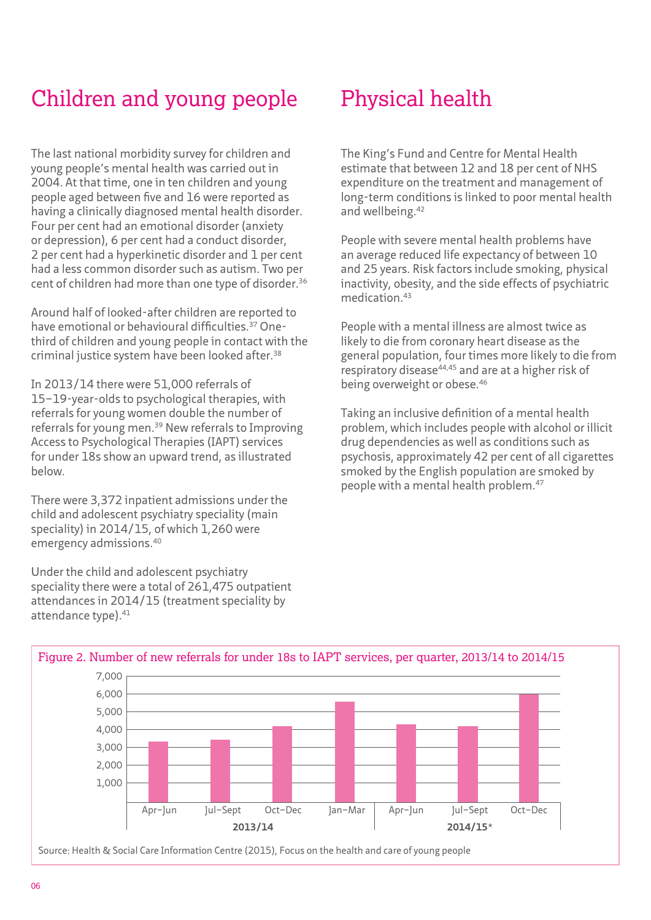### Children and young people

The last national morbidity survey for children and young people's mental health was carried out in 2004. At that time, one in ten children and young people aged between five and 16 were reported as having a clinically diagnosed mental health disorder. Four per cent had an emotional disorder (anxiety or depression), 6 per cent had a conduct disorder, 2 per cent had a hyperkinetic disorder and 1 per cent had a less common disorder such as autism. Two per cent of children had more than one type of disorder.36

Around half of looked-after children are reported to have emotional or behavioural difficulties.<sup>37</sup> Onethird of children and young people in contact with the criminal justice system have been looked after.<sup>38</sup>

In 2013/14 there were 51,000 referrals of 15–19-year-olds to psychological therapies, with referrals for young women double the number of referrals for young men.39 New referrals to Improving Access to Psychological Therapies (IAPT) services for under 18s show an upward trend, as illustrated below.

There were 3,372 inpatient admissions under the child and adolescent psychiatry speciality (main speciality) in 2014/15, of which 1,260 were emergency admissions.40

Under the child and adolescent psychiatry speciality there were a total of 261,475 outpatient attendances in 2014/15 (treatment speciality by attendance type).<sup>41</sup>

### Physical health

The King's Fund and Centre for Mental Health estimate that between 12 and 18 per cent of NHS expenditure on the treatment and management of long-term conditions is linked to poor mental health and wellbeing.<sup>42</sup>

People with severe mental health problems have an average reduced life expectancy of between 10 and 25 years. Risk factors include smoking, physical inactivity, obesity, and the side effects of psychiatric medication.43

People with a mental illness are almost twice as likely to die from coronary heart disease as the general population, four times more likely to die from respiratory disease44,45 and are at a higher risk of being overweight or obese.<sup>46</sup>

Taking an inclusive definition of a mental health problem, which includes people with alcohol or illicit drug dependencies as well as conditions such as psychosis, approximately 42 per cent of all cigarettes smoked by the English population are smoked by people with a mental health problem.<sup>47</sup>



06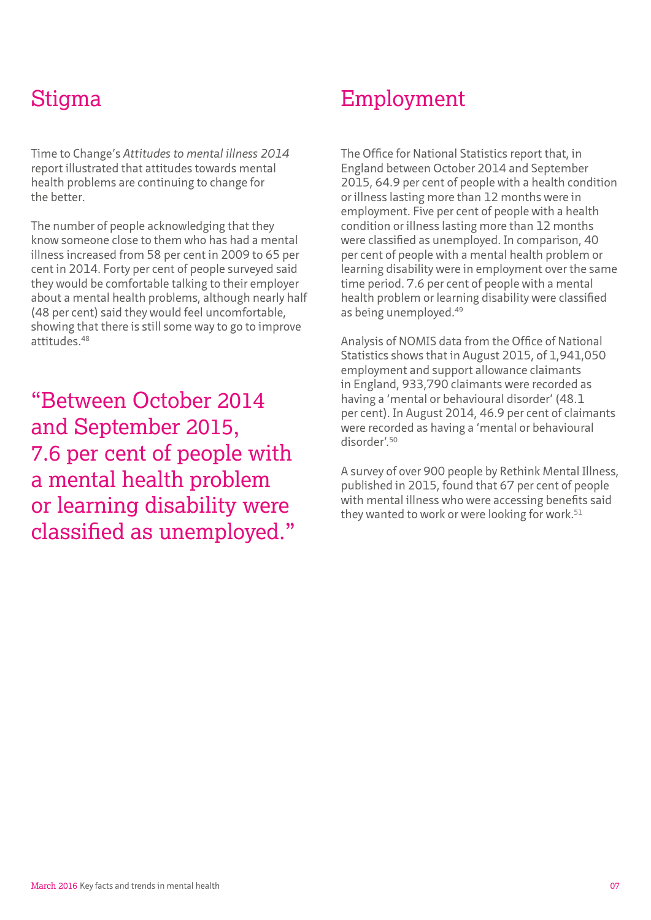### Stigma

Time to Change's *Attitudes to mental illness 2014* report illustrated that attitudes towards mental health problems are continuing to change for the better.

The number of people acknowledging that they know someone close to them who has had a mental illness increased from 58 per cent in 2009 to 65 per cent in 2014. Forty per cent of people surveyed said they would be comfortable talking to their employer about a mental health problems, although nearly half (48 per cent) said they would feel uncomfortable, showing that there is still some way to go to improve attitudes.48

"Between October 2014 and September 2015, 7.6 per cent of people with a mental health problem or learning disability were classified as unemployed."

#### Employment

The Office for National Statistics report that, in England between October 2014 and September 2015, 64.9 per cent of people with a health condition or illness lasting more than 12 months were in employment. Five per cent of people with a health condition or illness lasting more than 12 months were classified as unemployed. In comparison, 40 per cent of people with a mental health problem or learning disability were in employment over the same time period. 7.6 per cent of people with a mental health problem or learning disability were classified as being unemployed.49

Analysis of NOMIS data from the Office of National Statistics shows that in August 2015, of 1,941,050 employment and support allowance claimants in England, 933,790 claimants were recorded as having a 'mental or behavioural disorder' (48.1 per cent). In August 2014, 46.9 per cent of claimants were recorded as having a 'mental or behavioural disorder'.50

A survey of over 900 people by Rethink Mental Illness, published in 2015, found that 67 per cent of people with mental illness who were accessing benefits said they wanted to work or were looking for work.<sup>51</sup>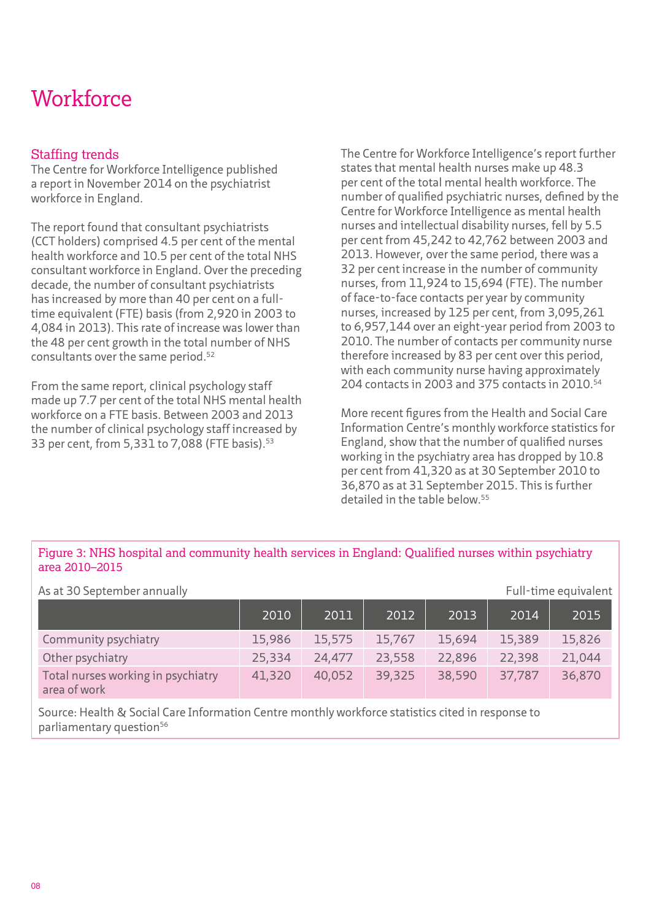### **Workforce**

#### Staffing trends

The Centre for Workforce Intelligence published a report in November 2014 on the psychiatrist workforce in England.

The report found that consultant psychiatrists (CCT holders) comprised 4.5 per cent of the mental health workforce and 10.5 per cent of the total NHS consultant workforce in England. Over the preceding decade, the number of consultant psychiatrists has increased by more than 40 per cent on a fulltime equivalent (FTE) basis (from 2,920 in 2003 to 4,084 in 2013). This rate of increase was lower than the 48 per cent growth in the total number of NHS consultants over the same period.52

From the same report, clinical psychology staff made up 7.7 per cent of the total NHS mental health workforce on a FTE basis. Between 2003 and 2013 the number of clinical psychology staff increased by 33 per cent, from 5,331 to 7,088 (FTE basis).<sup>53</sup>

The Centre for Workforce Intelligence's report further states that mental health nurses make up 48.3 per cent of the total mental health workforce. The number of qualified psychiatric nurses, defined by the Centre for Workforce Intelligence as mental health nurses and intellectual disability nurses, fell by 5.5 per cent from 45,242 to 42,762 between 2003 and 2013. However, over the same period, there was a 32 per cent increase in the number of community nurses, from 11,924 to 15,694 (FTE). The number of face-to-face contacts per year by community nurses, increased by 125 per cent, from 3,095,261 to 6,957,144 over an eight-year period from 2003 to 2010. The number of contacts per community nurse therefore increased by 83 per cent over this period, with each community nurse having approximately 204 contacts in 2003 and 375 contacts in 2010.54

More recent figures from the Health and Social Care Information Centre's monthly workforce statistics for England, show that the number of qualified nurses working in the psychiatry area has dropped by 10.8 per cent from 41,320 as at 30 September 2010 to 36,870 as at 31 September 2015. This is further detailed in the table below.55

#### Figure 3: NHS hospital and community health services in England: Qualified nurses within psychiatry area 2010–2015

| As at 30 September annually<br>Full-time equivalent |        |        |        |        |        |        |
|-----------------------------------------------------|--------|--------|--------|--------|--------|--------|
|                                                     | 2010   | 2011   | 2012   | 2013   | 2014   | 2015   |
| Community psychiatry                                | 15,986 | 15,575 | 15,767 | 15,694 | 15,389 | 15,826 |
| Other psychiatry                                    | 25,334 | 24,477 | 23,558 | 22,896 | 22,398 | 21,044 |
| Total nurses working in psychiatry<br>area of work  | 41,320 | 40,052 | 39,325 | 38,590 | 37,787 | 36,870 |

Source: Health & Social Care Information Centre monthly workforce statistics cited in response to parliamentary question<sup>56</sup>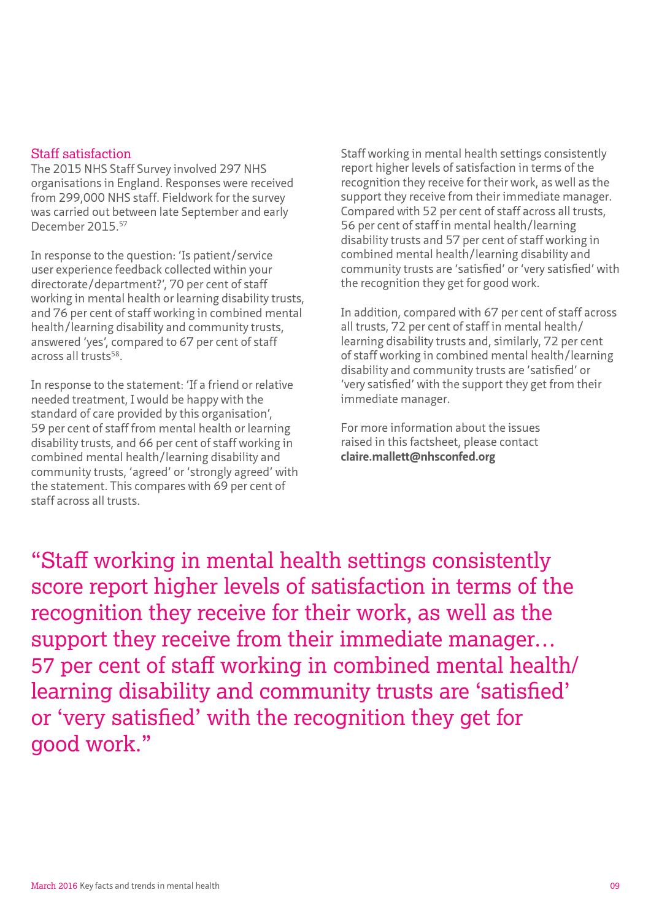#### Staff satisfaction

The 2015 NHS Staff Survey involved 297 NHS organisations in England. Responses were received from 299,000 NHS staff. Fieldwork for the survey was carried out between late September and early December 2015.57

In response to the question: 'Is patient/service user experience feedback collected within your directorate/department?', 70 per cent of staff working in mental health or learning disability trusts, and 76 per cent of staff working in combined mental health/learning disability and community trusts, answered 'yes', compared to 67 per cent of staff across all trusts58.

In response to the statement: 'If a friend or relative needed treatment, I would be happy with the standard of care provided by this organisation', 59 per cent of staff from mental health or learning disability trusts, and 66 per cent of staff working in combined mental health/learning disability and community trusts, 'agreed' or 'strongly agreed' with the statement. This compares with 69 per cent of staff across all trusts.

Staff working in mental health settings consistently report higher levels of satisfaction in terms of the recognition they receive for their work, as well as the support they receive from their immediate manager. Compared with 52 per cent of staff across all trusts, 56 per cent of staff in mental health/learning disability trusts and 57 per cent of staff working in combined mental health/learning disability and community trusts are 'satisfied' or 'very satisfied' with the recognition they get for good work.

In addition, compared with 67 per cent of staff across all trusts, 72 per cent of staff in mental health/ learning disability trusts and, similarly, 72 per cent of staff working in combined mental health/learning disability and community trusts are 'satisfied' or 'very satisfied' with the support they get from their immediate manager.

For more information about the issues raised in this factsheet, please contact **[claire.mallett@nhsconfed.org](mailto:claire.mallett@nhsconfed.org)**

"Staff working in mental health settings consistently score report higher levels of satisfaction in terms of the recognition they receive for their work, as well as the support they receive from their immediate manager… 57 per cent of staff working in combined mental health/ learning disability and community trusts are 'satisfied' or 'very satisfied' with the recognition they get for good work."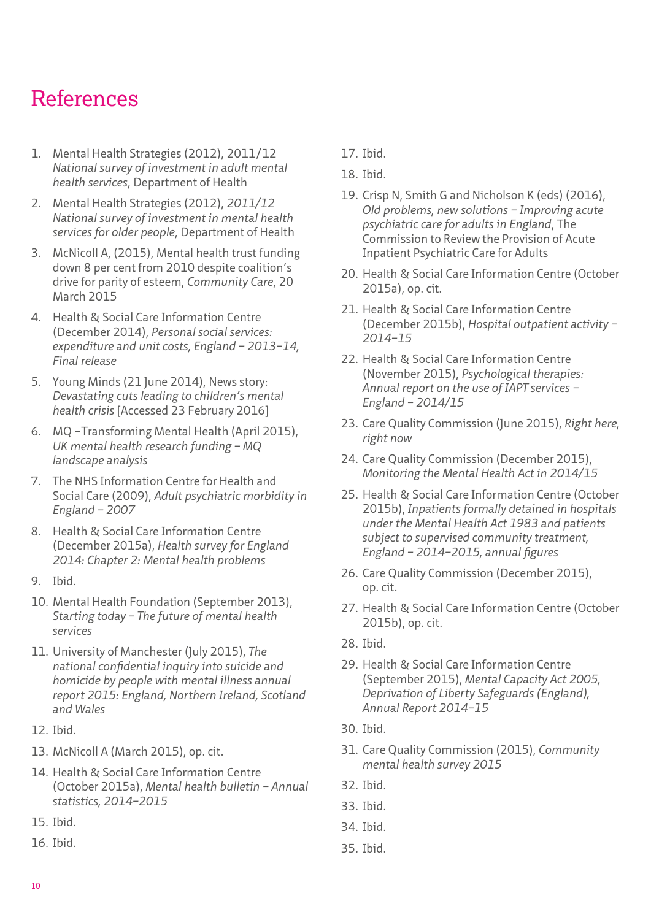### References

- 1. Mental Health Strategies (2012), 2011/12 *National survey of investment in adult mental health services*, Department of Health
- 2. Mental Health Strategies (2012), *2011/12 National survey of investment in mental health services for older people*, Department of Health
- 3. McNicoll A, (2015), [Mental health trust funding](http://www.communitycare.co.uk/2015/03/20/mental-health-trust-funding-8-since-2010-despite-coalitions-drive-parity-esteem/)  [down 8 per cent from 2010 despite coalition's](http://www.communitycare.co.uk/2015/03/20/mental-health-trust-funding-8-since-2010-despite-coalitions-drive-parity-esteem/)  [drive for parity of esteem](http://www.communitycare.co.uk/2015/03/20/mental-health-trust-funding-8-since-2010-despite-coalitions-drive-parity-esteem/), *Community Care*, 20 March 2015
- 4. Health & Social Care Information Centre (December 2014), *[Personal social services:](http://www.hscic.gov.uk/searchcatalogue?productid=16602&topics=0%2fSocial+care&sort=Relevance&size=10&page=1#top>)  [expenditure and unit costs, England – 2013–14,](http://www.hscic.gov.uk/searchcatalogue?productid=16602&topics=0%2fSocial+care&sort=Relevance&size=10&page=1#top>)  [Final release](http://www.hscic.gov.uk/searchcatalogue?productid=16602&topics=0%2fSocial+care&sort=Relevance&size=10&page=1#top>)*
- 5. Young Minds (21 June 2014), News story: *[Devastating cuts leading to children's mental](http://www.youngminds.org.uk/news/blog/2480_devastating_cuts_leading_to_childrens_mental_health_cris)  [health crisis](http://www.youngminds.org.uk/news/blog/2480_devastating_cuts_leading_to_childrens_mental_health_cris)* [Accessed 23 February 2016]
- 6. MQ –Transforming Mental Health (April 2015), *[UK mental health research funding – MQ](http://b.3cdn.net/joinmq/1f731755e4183d5337_apm6b0gll.pdf)  [landscape analysis](http://b.3cdn.net/joinmq/1f731755e4183d5337_apm6b0gll.pdf)*
- 7. The NHS Information Centre for Health and Social Care (2009), *[Adult psychiatric morbidity in](http://www.hscic.gov.uk/catalogue/PUB02931/adul-psyc-morb-res-hou-sur-eng-2007-rep.pdf)  [England – 2007](http://www.hscic.gov.uk/catalogue/PUB02931/adul-psyc-morb-res-hou-sur-eng-2007-rep.pdf)*
- 8. Health & Social Care Information Centre (December 2015a), *[Health survey for England](http://www.hscic.gov.uk/catalogue/PUB19295/HSE2014-ch2-mh-prob.pdf)  [2014: Chapter 2: Mental health problems](http://www.hscic.gov.uk/catalogue/PUB19295/HSE2014-ch2-mh-prob.pdf)*
- 9. Ibid.
- 10. Mental Health Foundation (September 2013), *[Starting today – The future of mental health](https://www.mentalhealth.org.uk/sites/default/files/starting-today.pdf)  [services](https://www.mentalhealth.org.uk/sites/default/files/starting-today.pdf)*
- 11. University of Manchester (July 2015), *The national confidential inquiry into suicide and homicide by people with mental illness annual report 2015: England, Northern Ireland, Scotland and Wales*
- 12. Ibid.
- 13. McNicoll A (March 2015), op. cit.
- 14. Health & Social Care Information Centre (October 2015a), *[Mental health bulletin – Annual](http://www.hscic.gov.uk/catalogue/PUB18808/mhb-1415-ann-rep.pdf)  [statistics, 2014–2015](http://www.hscic.gov.uk/catalogue/PUB18808/mhb-1415-ann-rep.pdf)*
- 15. Ibid.
- 16. Ibid.
- 17. Ibid.
- 18. Ibid.
- 19. Crisp N, Smith G and Nicholson K (eds) (2016), *[Old problems, new solutions – Improving acute](http://www.caapc.info/#!publications/cgbd)  [psychiatric care for adults in England](http://www.caapc.info/#!publications/cgbd)*, The Commission to Review the Provision of Acute Inpatient Psychiatric Care for Adults
- 20. Health & Social Care Information Centre (October 2015a), op. cit.
- 21. Health & Social Care Information Centre (December 2015b), *[Hospital outpatient activity –](http://www.hscic.gov.uk/catalogue/PUB19608)  [2014–15](http://www.hscic.gov.uk/catalogue/PUB19608)*
- 22. Health & Social Care Information Centre (November 2015), *[Psychological therapies:](http://www.hscic.gov.uk/catalogue/PUB19098/psyc-ther-ann-rep-2014-15.pdf)  [Annual report on the use of IAPT services –](http://www.hscic.gov.uk/catalogue/PUB19098/psyc-ther-ann-rep-2014-15.pdf)  [England – 2014/15](http://www.hscic.gov.uk/catalogue/PUB19098/psyc-ther-ann-rep-2014-15.pdf)*
- 23. Care Quality Commission (June 2015), *[Right here,](http://www.cqc.org.uk/sites/default/files/20150611_righthere_mhcrisiscare_summary_3.pdf)  [right now](http://www.cqc.org.uk/sites/default/files/20150611_righthere_mhcrisiscare_summary_3.pdf)*
- 24. Care Quality Commission (December 2015), *[Monitoring the Mental Health Act in 2014/15](http://www.cqc.org.uk/sites/default/files/20151207_mhareport2014-15_full.pdf)*
- 25. Health & Social Care Information Centre (October 2015b), *[Inpatients formally detained in hospitals](http://www.hscic.gov.uk/catalogue/PUB18803)  [under the Mental Health Act 1983 and patients](http://www.hscic.gov.uk/catalogue/PUB18803)  [subject to supervised community treatment,](http://www.hscic.gov.uk/catalogue/PUB18803)  [England – 2014–2015, annual figures](http://www.hscic.gov.uk/catalogue/PUB18803)*
- 26. Care Quality Commission (December 2015), op. cit.
- 27. Health & Social Care Information Centre (October 2015b), op. cit.
- 28. Ibid.
- 29. Health & Social Care Information Centre (September 2015), *[Mental Capacity Act 2005,](http://www.hscic.gov.uk/article/2021/Website-Search?productid=18910&q=title%3a%22Deprivation+of+Liberty+Safeguards%22&sort=Most+recent&size=10&page=1&area=both#top)  [Deprivation of Liberty Safeguards \(England\),](http://www.hscic.gov.uk/article/2021/Website-Search?productid=18910&q=title%3a%22Deprivation+of+Liberty+Safeguards%22&sort=Most+recent&size=10&page=1&area=both#top)  [Annual Report 2014–15](http://www.hscic.gov.uk/article/2021/Website-Search?productid=18910&q=title%3a%22Deprivation+of+Liberty+Safeguards%22&sort=Most+recent&size=10&page=1&area=both#top)*
- 30. Ibid.
- 31. Care Quality Commission (2015), *[Community](http://www.cqc.org.uk/content/community-mental-health-survey-2015)  [mental health survey 2015](http://www.cqc.org.uk/content/community-mental-health-survey-2015)*
- 32. Ibid.
- 33. Ibid.
- 34. Ibid.
- 35. Ibid.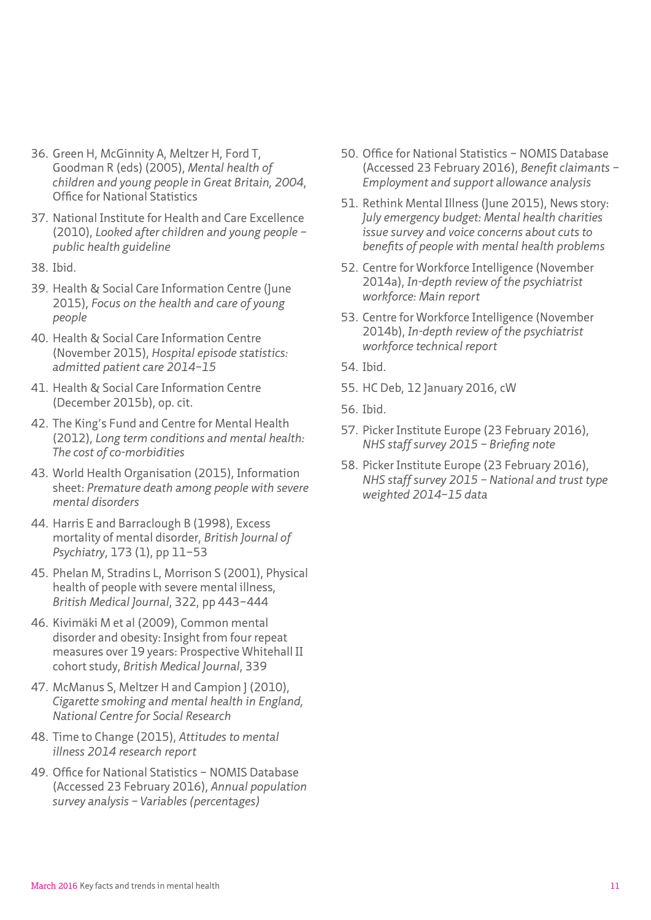- 36. Green H, McGinnity A, Meltzer H, Ford T, Goodman R (eds) (2005), *[Mental health of](http://www.hscic.gov.uk/catalogue/PUB06116/ment-heal-chil-youn-peop-gb-2004-rep2.pdf)  [children and young people in Great Britain, 2004](http://www.hscic.gov.uk/catalogue/PUB06116/ment-heal-chil-youn-peop-gb-2004-rep2.pdf)*, Office for National Statistics
- 37. National Institute for Health and Care Excellence (2010), *[Looked after children and young people –](https://www.nice.org.uk/guidance/ph28/resources/lookedafter-children-and-young-people-1996243726021)  [public health guideline](https://www.nice.org.uk/guidance/ph28/resources/lookedafter-children-and-young-people-1996243726021)*
- 38. Ibid.
- 39. Health & Social Care Information Centre (June 2015), *[Focus on the health and care of young](http://www.hscic.gov.uk/catalogue/PUB17772/Focus-on-h-c-young-people-main-June-2015.pdf)  [people](http://www.hscic.gov.uk/catalogue/PUB17772/Focus-on-h-c-young-people-main-June-2015.pdf)*
- 40. Health & Social Care Information Centre (November 2015), *[Hospital episode statistics:](http://www.hscic.gov.uk/catalogue/PUB19124)  [admitted patient care 2014–15](http://www.hscic.gov.uk/catalogue/PUB19124)*
- 41. Health & Social Care Information Centre (December 2015b), op. cit.
- 42. The King's Fund and Centre for Mental Health (2012), *[Long term conditions and mental health:](http://www.kingsfund.org.uk/sites/files/kf/field/field_publication_file/long-term-conditions-mental-health-cost-comorbidities-naylor-feb12.pdf)  [The cost of co-morbidities](http://www.kingsfund.org.uk/sites/files/kf/field/field_publication_file/long-term-conditions-mental-health-cost-comorbidities-naylor-feb12.pdf)*
- 43. World Health Organisation (2015), Information sheet: *[Premature death among people with severe](http://www.who.int/mental_health/management/info_sheet.pdf?ua=1)  [mental disorders](http://www.who.int/mental_health/management/info_sheet.pdf?ua=1)*
- 44. Harris E and Barraclough B (1998), Excess mortality of mental disorder, *British Journal of Psychiatry*, 173 (1), pp 11–53
- 45. Phelan M, Stradins L, Morrison S (2001), Physical health of people with severe mental illness, *British Medical Journal*, 322, pp 443–444
- 46. Kivimäki M et al (2009), Common mental disorder and obesity: Insight from four repeat measures over 19 years: Prospective Whitehall II cohort study, *British Medical Journal*, 339
- 47. McManus S, Meltzer H and Campion J (2010), *Cigarette smoking and mental health in England, National Centre for Social Research*
- 48. Time to Change (2015), *[Attitudes to mental](https://www.rethink.org/get-involved/campaigns/time-to-change/time-to-change-national-attitudes-2014-15)  [illness 2014 research report](https://www.rethink.org/get-involved/campaigns/time-to-change/time-to-change-national-attitudes-2014-15)*
- 49. Office for National Statistics NOMIS Database (Accessed 23 February 2016), *[Annual population](http://www.nomisweb.co.uk/query/select/getdatasetbytheme.asp?opt=3&theme=&subgrp=)  [survey analysis – Variables \(percentages\)](http://www.nomisweb.co.uk/query/select/getdatasetbytheme.asp?opt=3&theme=&subgrp=)*
- 50. Office for National Statistics NOMIS Database (Accessed 23 February 2016), *Benefit claimants – Employment and support allowance analysis*
- 51. Rethink Mental Illness (June 2015), News story: *[July emergency budget: Mental health charities](https://www.rethink.org/news-views/2015/07/budget)  [issue survey and voice concerns about cuts to](https://www.rethink.org/news-views/2015/07/budget)  [benefits of people with mental health problems](https://www.rethink.org/news-views/2015/07/budget)*
- 52. Centre for Workforce Intelligence (November 2014a), *[In-depth review of the psychiatrist](http://www.cfwi.org.uk/publications/in-depth-review-of-the-psychiatrist-workforce)  [workforce: Main report](http://www.cfwi.org.uk/publications/in-depth-review-of-the-psychiatrist-workforce)*
- 53. Centre for Workforce Intelligence (November 2014b), *[In-depth review of the psychiatrist](http://www.cfwi.org.uk/publications/in-depth-review-of-the-psychiatrist-workforce-technical-report/)  [workforce technical report](http://www.cfwi.org.uk/publications/in-depth-review-of-the-psychiatrist-workforce-technical-report/)*
- 54. Ibid.
- 55. HC Deb, 12 January 2016, [cW](http://www.parliament.uk/business/publications/written-questions-answers-statements/written-question/Commons/2016-01-07/21586/)
- 56. Ibid.
- 57. Picker Institute Europe (23 February 2016), *NHS [staff survey 2015 – Briefing note](http://www.nhsstaffsurveys.com/Caches/Files/20160222_NHS%20Staff%20Survey%202015%20National%20Briefing_Final.pdf)*
- 58. Picker Institute Europe (23 February 2016), *[NHS staff survey 2015 – National and trust type](http://www.nhsstaffsurveys.com/Caches/Files/20160222%20NHS%20Staff%20Survey%202014%202015%20Question%20and%20KF%20weighted%20data%20v2.0-1.xlsx)  [weighted 2014–15 data](http://www.nhsstaffsurveys.com/Caches/Files/20160222%20NHS%20Staff%20Survey%202014%202015%20Question%20and%20KF%20weighted%20data%20v2.0-1.xlsx)*